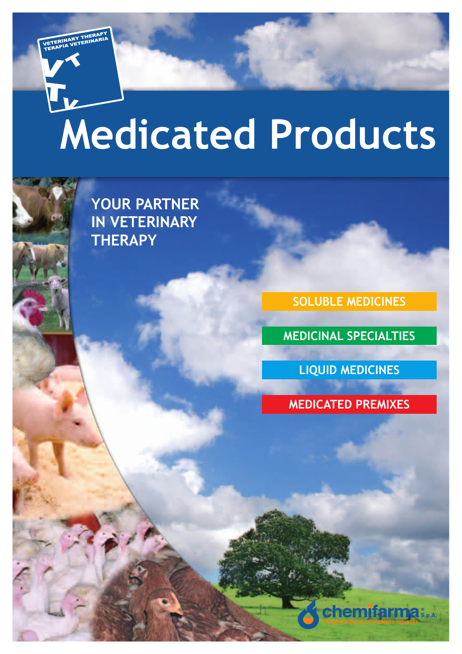# **Medicated Products**

**YOUR PARTNER IN VETERINARY THERAPY**

r<br>L

**SOLUBLE MEDICINES**

**MEDICINAL SPECIALTIES**

**LIQUID MEDICINES**

**MEDICATED PREMIXES**

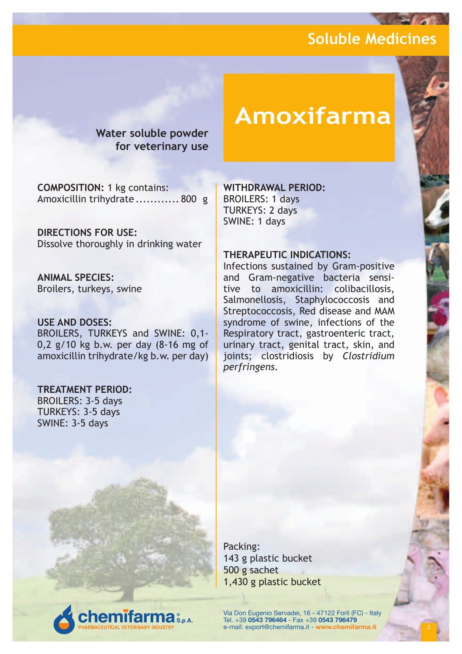**Water soluble powder for veterinary use**

**COMPOSITION:** 1 kg contains: Amoxicillin trihydrate ............ 800 g

**DIRECTIONS FOR USE:** Dissolve thoroughly in drinking water

**ANIMAL SPECIES:** Broilers, turkeys, swine

#### **USE AND DOSES:**

BROILERS, TURKEYS and SWINE: 0,1- 0,2 g/10 kg b.w. per day (8-16 mg of amoxicillin trihydrate/kg b.w. per day)

**emifarma** S.p.A.

#### **TREATMENT PERIOD:**

BROILERS: 3-5 days TURKEYS: 3-5 days SWINE: 3-5 days

# **Amoxifarma**

#### **WITHDRAWAL PERIOD:**

BROILERS: 1 days TURKEYS: 2 days SWINE: 1 days

#### **THERAPEUTIC INDICATIONS:**

Infections sustained by Gram-positive and Gram-negative bacteria sensitive to amoxicillin: colibacillosis, Salmonellosis, Staphylococcosis and Streptococcosis, Red disease and MAM syndrome of swine, infections of the Respiratory tract, gastroenteric tract, urinary tract, genital tract, skin, and joints; clostridiosis by *Clostridium perfringens*.

Packing: 143 g plastic bucket 500 g sachet 1,430 g plastic bucket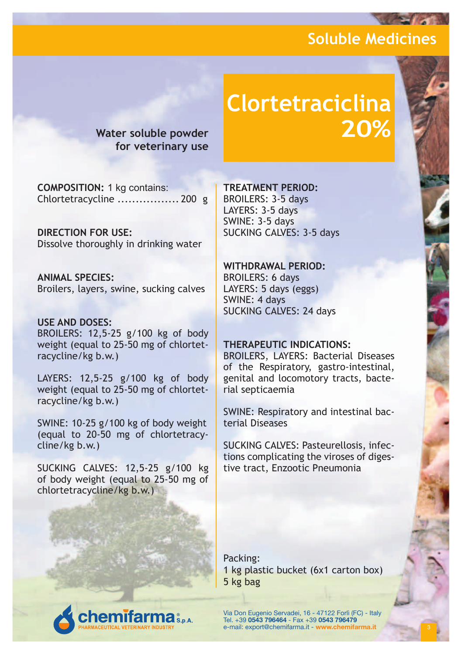**for veterinary use**

# **Clortetraciclina Water soluble powder 20%**

**COMPOSITION:** 1 kg contains: Chlortetracycline ................. 200 g

**DIRECTION FOR USE:** Dissolve thoroughly in drinking water

**ANIMAL SPECIES:** Broilers, layers, swine, sucking calves

#### **USE AND DOSES:** BROILERS: 12,5-25 g/100 kg of body weight (equal to 25-50 mg of chlortetracycline/kg b.w.)

LAYERS: 12,5-25 g/100 kg of body weight (equal to 25-50 mg of chlortetracycline/kg b.w.)

SWINE: 10-25 g/100 kg of body weight (equal to 20-50 mg of chlortetracycline/kg b.w.)

SUCKING CALVES: 12,5-25 g/100 kg of body weight (equal to 25-50 mg of chlortetracycline/kg b.w.)

#### **TREATMENT PERIOD:**

BROILERS: 3-5 days LAYERS: 3-5 days SWINE: 3-5 days SUCKING CALVES: 3-5 days

#### **WITHDRAWAL PERIOD:** BROILERS: 6 days

LAYERS: 5 days (eggs) SWINE: 4 days SUCKING CALVES: 24 days

#### **THERAPEUTIC INDICATIONS:**

BROILERS, LAYERS: Bacterial Diseases of the Respiratory, gastro-intestinal, genital and locomotory tracts, bacterial septicaemia

SWINE: Respiratory and intestinal bacterial Diseases

SUCKING CALVES: Pasteurellosis, infections complicating the viroses of digestive tract, Enzootic Pneumonia

Packing: 1 kg plastic bucket (6x1 carton box) 5 kg bag

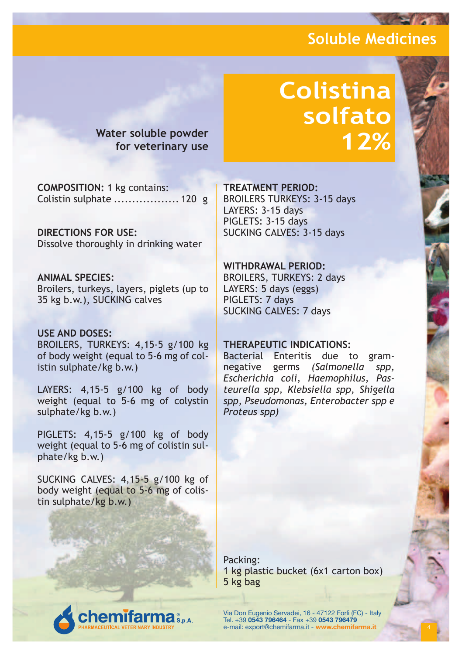# **Colistina solfato**

**12% Water soluble powder for veterinary use**

**COMPOSITION:** 1 kg contains: Colistin sulphate .................. 120 g

**DIRECTIONS FOR USE:** Dissolve thoroughly in drinking water

**ANIMAL SPECIES:** Broilers, turkeys, layers, piglets (up to 35 kg b.w.), SUCKING calves

#### **USE AND DOSES:**

BROILERS, TURKEYS: 4,15-5 g/100 kg of body weight (equal to 5-6 mg of colistin sulphate/kg b.w.)

LAYERS: 4,15-5 g/100 kg of body weight (equal to 5-6 mg of colystin sulphate/kg b.w.)

PIGLETS: 4,15-5 g/100 kg of body weight (equal to 5-6 mg of colistin sulphate/kg b.w.)

SUCKING CALVES: 4,15-5 g/100 kg of body weight (equal to 5-6 mg of colistin sulphate/kg b.w.)

**emifarma** s.s.a.

#### **TREATMENT PERIOD:**

BROILERS TURKEYS: 3-15 days LAYERS: 3-15 days PIGLETS: 3-15 days SUCKING CALVES: 3-15 days

#### **WITHDRAWAL PERIOD:**

BROILERS, TURKEYS: 2 days LAYERS: 5 days (eggs) PIGLETS: 7 days SUCKING CALVES: 7 days

#### **THERAPEUTIC INDICATIONS:**

Bacterial Enteritis due to gramnegative germs *(Salmonella spp, Escherichia coli, Haemophilus, Pasteurella spp, Klebsiella spp, Shigella spp, Pseudomonas, Enterobacter spp e Proteus spp)*

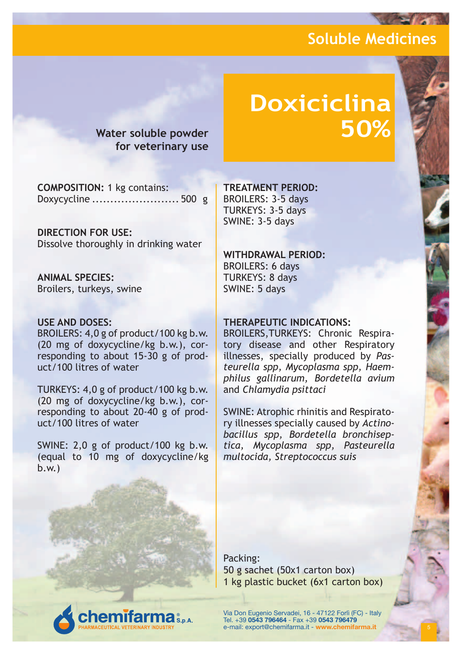**Water soluble powder for veterinary use**

# **Doxiciclina**

**COMPOSITION:** 1 kg contains: Doxycycline ........................ 500 g

**DIRECTION FOR USE:** Dissolve thoroughly in drinking water

**ANIMAL SPECIES:** Broilers, turkeys, swine

#### **USE AND DOSES:**

BROILERS: 4,0 g of product/100 kg b.w. (20 mg of doxycycline/kg b.w.), corresponding to about 15-30 g of product/100 litres of water

TURKEYS: 4,0 g of product/100 kg b.w. (20 mg of doxycycline/kg b.w.), corresponding to about 20-40 g of product/100 litres of water

SWINE: 2,0 g of product/100 kg b.w. (equal to 10 mg of doxycycline/kg b.w.)

**emifarma** 

**TREATMENT PERIOD:**

BROILERS: 3-5 days TURKEYS: 3-5 days SWINE: 3-5 days

#### **WITHDRAWAL PERIOD:**

BROILERS: 6 days TURKEYS: 8 days SWINE: 5 days

#### **THERAPEUTIC INDICATIONS:**

BROILERS,TURKEYS: Chronic Respiratory disease and other Respiratory illnesses, specially produced by *Pasteurella spp, Mycoplasma spp, Haemphilus gallinarum, Bordetella avium*  and *Chlamydia psittaci*

SWINE: Atrophic rhinitis and Respiratory illnesses specially caused by *Actinobacillus spp, Bordetella bronchiseptica, Mycoplasma spp, Pasteurella multocida, Streptococcus suis*

Packing: 50 g sachet (50x1 carton box) 1 kg plastic bucket (6x1 carton box)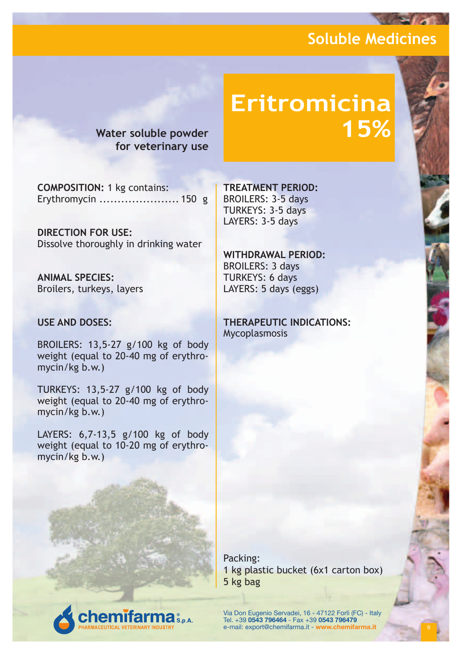**for veterinary use**

# **Eritromicina Water soluble powder 15%**

**COMPOSITION:** 1 kg contains: Erythromycin ...................... 150 g

**DIRECTION FOR USE:** Dissolve thoroughly in drinking water

**ANIMAL SPECIES:** Broilers, turkeys, layers

#### **USE AND DOSES:**

BROILERS: 13,5-27 g/100 kg of body weight (equal to 20-40 mg of erythromycin/kg b.w.)

TURKEYS: 13,5-27 g/100 kg of body weight (equal to 20-40 mg of erythromycin/kg b.w.)

LAYERS: 6,7-13,5 g/100 kg of body weight (equal to 10-20 mg of erythromycin/kg b.w.)

**emifarma** S.p.A.

**TREATMENT PERIOD:** BROILERS: 3-5 days TURKEYS: 3-5 days LAYERS: 3-5 days

**WITHDRAWAL PERIOD:** BROILERS: 3 days TURKEYS: 6 days LAYERS: 5 days (eggs)

**THERAPEUTIC INDICATIONS:** Mycoplasmosis

Packing: 1 kg plastic bucket (6x1 carton box) 5 kg bag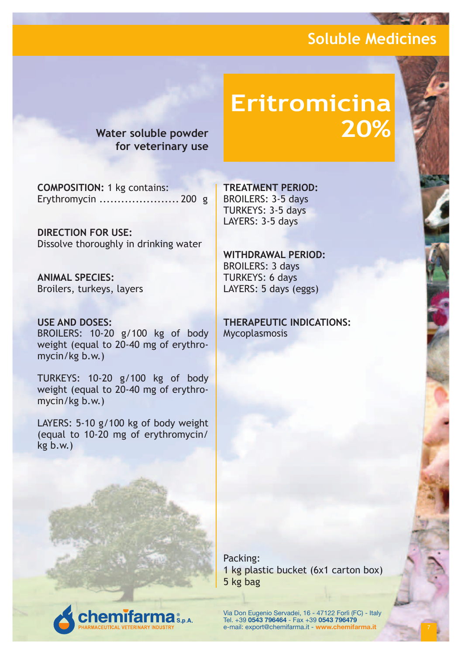**for veterinary use**

# **Eritromicina Water soluble powder 20%**

**COMPOSITION:** 1 kg contains: Erythromycin ...................... 200 g

**DIRECTION FOR USE:** Dissolve thoroughly in drinking water

**ANIMAL SPECIES:** Broilers, turkeys, layers

**USE AND DOSES:** BROILERS: 10-20 g/100 kg of body weight (equal to 20-40 mg of erythromycin/kg b.w.)

TURKEYS: 10-20 g/100 kg of body weight (equal to 20-40 mg of erythromycin/kg b.w.)

LAYERS: 5-10 g/100 kg of body weight (equal to 10-20 mg of erythromycin/ kg b.w.)

**emifarma** S.p.A.

**TREATMENT PERIOD:** BROILERS: 3-5 days TURKEYS: 3-5 days LAYERS: 3-5 days

**WITHDRAWAL PERIOD:** BROILERS: 3 days TURKEYS: 6 days LAYERS: 5 days (eggs)

**THERAPEUTIC INDICATIONS:** Mycoplasmosis

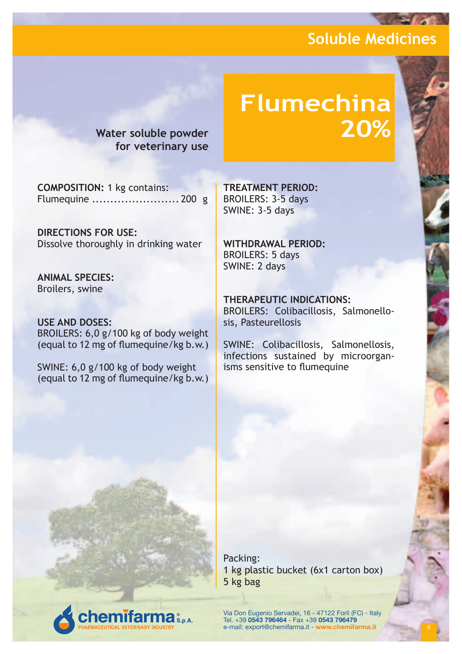**Water soluble powder for veterinary use**

# **Flumechina**

**COMPOSITION:** 1 kg contains: Flumequine ........................ 200 g

**DIRECTIONS FOR USE:** Dissolve thoroughly in drinking water

**ANIMAL SPECIES:** Broilers, swine

**USE AND DOSES:** BROILERS: 6,0 g/100 kg of body weight (equal to 12 mg of flumequine/kg b.w.)

SWINE: 6,0 g/100 kg of body weight (equal to 12 mg of flumequine/kg b.w.) **TREATMENT PERIOD:** BROILERS: 3-5 days SWINE: 3-5 days

**WITHDRAWAL PERIOD:** BROILERS: 5 days SWINE: 2 days

**THERAPEUTIC INDICATIONS:** BROILERS: Colibacillosis, Salmonellosis, Pasteurellosis

SWINE: Colibacillosis, Salmonellosis, infections sustained by microorganisms sensitive to flumequine

Packing: 1 kg plastic bucket (6x1 carton box) 5 kg bag

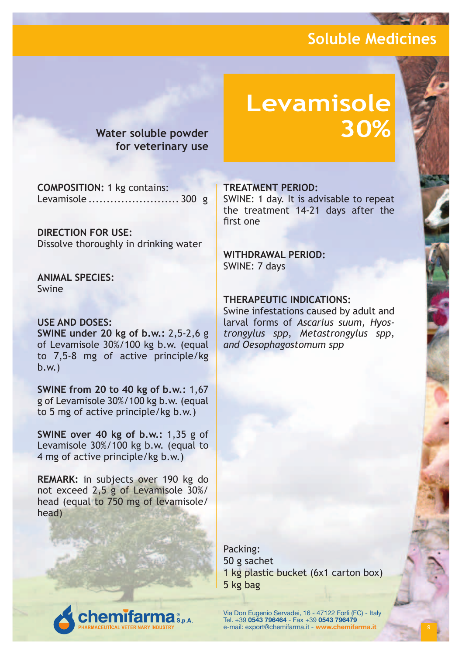**Water soluble powder for veterinary use**

# **Levamisole**

**COMPOSITION:** 1 kg contains: Levamisole ......................... 300 g

**DIRECTION FOR USE:** Dissolve thoroughly in drinking water

**ANIMAL SPECIES:** Swine

#### **USE AND DOSES:**

**SWINE under 20 kg of b.w.:** 2,5-2,6 g of Levamisole 30%/100 kg b.w. (equal to 7,5-8 mg of active principle/kg b.w.)

**SWINE from 20 to 40 kg of b.w.:** 1,67 g of Levamisole 30%/100 kg b.w. (equal to 5 mg of active principle/kg b.w.)

**SWINE over 40 kg of b.w.:** 1,35 g of Levamisole 30%/100 kg b.w. (equal to 4 mg of active principle/kg b.w.)

**REMARK:** in subjects over 190 kg do not exceed 2,5 g of Levamisole 30%/ head (equal to 750 mg of levamisole/ head)

#### **TREATMENT PERIOD:**

SWINE: 1 day. It is advisable to repeat the treatment 14-21 days after the first one

#### **WITHDRAWAL PERIOD:** SWINE: 7 days

#### **THERAPEUTIC INDICATIONS:**

Swine infestations caused by adult and larval forms of *Ascarius suum, Hyostrongylus spp, Metastrongylus spp, and Oesophagostomum spp*

Packing: 50 g sachet 1 kg plastic bucket (6x1 carton box) 5 kg bag

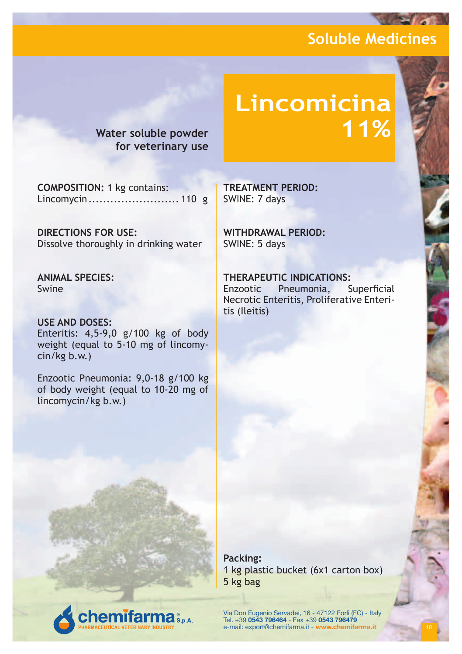**Water soluble powder for veterinary use**

# **Lincomicina**

**COMPOSITION:** 1 kg contains: Lincomycin......................... 110 g

**DIRECTIONS FOR USE:** Dissolve thoroughly in drinking water

**ANIMAL SPECIES:** Swine

#### **USE AND DOSES:**

Enteritis: 4,5-9,0 g/100 kg of body weight (equal to 5-10 mg of lincomycin/kg b.w.)

Enzootic Pneumonia: 9,0-18 g/100 kg of body weight (equal to 10-20 mg of lincomycin/kg b.w.)

**emifarma** S.p.A.

**TREATMENT PERIOD:** SWINE: 7 days

**WITHDRAWAL PERIOD:** SWINE: 5 days

**THERAPEUTIC INDICATIONS:** Enzootic Pneumonia, Superficial Necrotic Enteritis, Proliferative Enteritis (Ileitis)

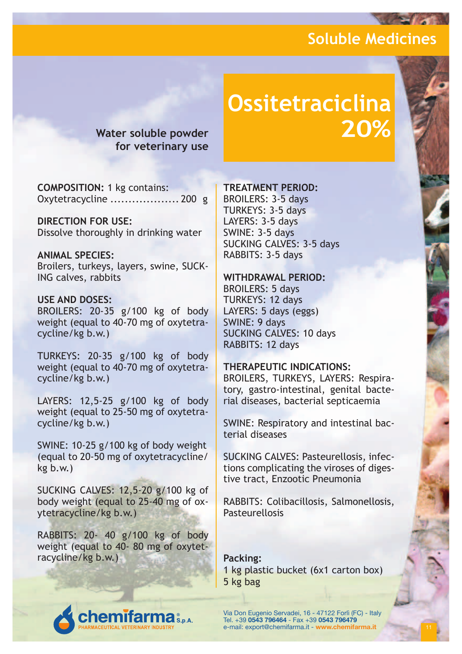**for veterinary use**

# **Ossitetraciclina Water soluble powder 20%**

**COMPOSITION:** 1 kg contains: Oxytetracycline ................... 200 g

**DIRECTION FOR USE:** Dissolve thoroughly in drinking water

**ANIMAL SPECIES:** Broilers, turkeys, layers, swine, SUCK-ING calves, rabbits

#### **USE AND DOSES:**

BROILERS: 20-35 g/100 kg of body weight (equal to 40-70 mg of oxytetracycline/kg b.w.)

TURKEYS: 20-35 g/100 kg of body weight (equal to 40-70 mg of oxytetracycline/kg b.w.)

LAYERS: 12,5-25 g/100 kg of body weight (equal to 25-50 mg of oxytetracycline/kg b.w.)

SWINE: 10-25 g/100 kg of body weight (equal to 20-50 mg of oxytetracycline/ kg b.w.)

SUCKING CALVES: 12,5-20 g/100 kg of body weight (equal to 25-40 mg of oxytetracycline/kg b.w.)

RABBITS: 20- 40 g/100 kg of body weight (equal to 40- 80 mg of oxytetracycline/kg b.w.)

**emifarn** 

#### **TREATMENT PERIOD:**

BROILERS: 3-5 days TURKEYS: 3-5 days LAYERS: 3-5 days SWINE: 3-5 days SUCKING CALVES: 3-5 days RABBITS: 3-5 days

#### **WITHDRAWAL PERIOD:**

BROILERS: 5 days TURKEYS: 12 days LAYERS: 5 days (eggs) SWINE: 9 days SUCKING CALVES: 10 days RABBITS: 12 days

#### **THERAPEUTIC INDICATIONS:**

BROILERS, TURKEYS, LAYERS: Respiratory, gastro-intestinal, genital bacterial diseases, bacterial septicaemia

SWINE: Respiratory and intestinal bacterial diseases

SUCKING CALVES: Pasteurellosis, infections complicating the viroses of digestive tract, Enzootic Pneumonia

RABBITS: Colibacillosis, Salmonellosis, **Pasteurellosis** 

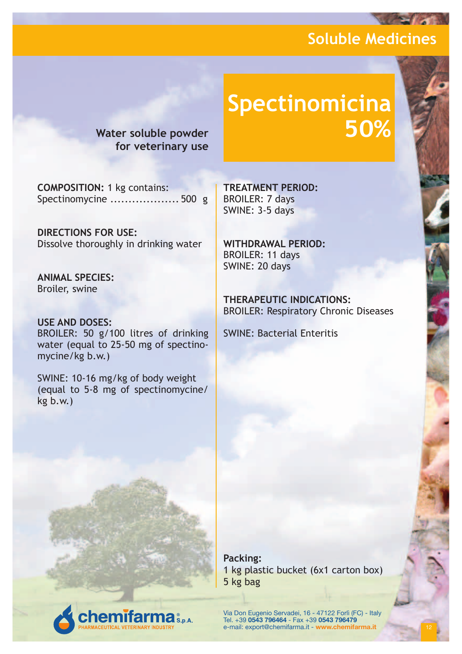**Water soluble powder for veterinary use**

# **Spectinomicina**

**COMPOSITION:** 1 kg contains: Spectinomycine ................... 500 g

**DIRECTIONS FOR USE:** Dissolve thoroughly in drinking water

**ANIMAL SPECIES:** Broiler, swine

**USE AND DOSES:** BROILER: 50 g/100 litres of drinking water (equal to 25-50 mg of spectinomycine/kg b.w.)

SWINE: 10-16 mg/kg of body weight (equal to 5-8 mg of spectinomycine/ kg b.w.)

**emifarma** S.p.A.

**TREATMENT PERIOD:** BROILER: 7 days SWINE: 3-5 days

**WITHDRAWAL PERIOD:** BROILER: 11 days SWINE: 20 days

**THERAPEUTIC INDICATIONS:** BROILER: Respiratory Chronic Diseases

SWINE: Bacterial Enteritis

**Packing:** 1 kg plastic bucket (6x1 carton box) 5 kg bag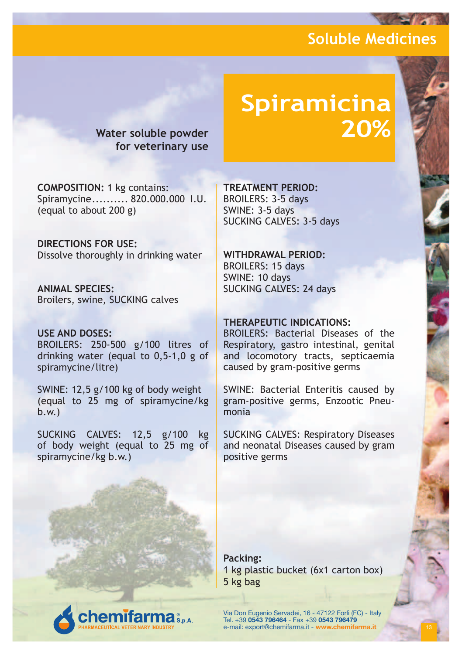**for veterinary use**

# **Spiramicina Water soluble powder 20%**

**COMPOSITION:** 1 kg contains: Spiramycine.......... 820.000.000 I.U. (equal to about 200 g)

**DIRECTIONS FOR USE:** Dissolve thoroughly in drinking water

**ANIMAL SPECIES:** Broilers, swine, SUCKING calves

#### **USE AND DOSES:**

BROILERS: 250-500 g/100 litres of drinking water (equal to 0,5-1,0 g of spiramycine/litre)

SWINE: 12,5 g/100 kg of body weight (equal to 25 mg of spiramycine/kg b.w.)

SUCKING CALVES: 12,5 g/100 kg of body weight (equal to 25 mg of spiramycine/kg b.w.)

**emifarma** 

**TREATMENT PERIOD:** BROILERS: 3-5 days SWINE: 3-5 days SUCKING CALVES: 3-5 days

**WITHDRAWAL PERIOD:** BROILERS: 15 days SWINE: 10 days SUCKING CALVES: 24 days

#### **THERAPEUTIC INDICATIONS:**

BROILERS: Bacterial Diseases of the Respiratory, gastro intestinal, genital and locomotory tracts, septicaemia caused by gram-positive germs

SWINE: Bacterial Enteritis caused by gram-positive germs, Enzootic Pneumonia

SUCKING CALVES: Respiratory Diseases and neonatal Diseases caused by gram positive germs

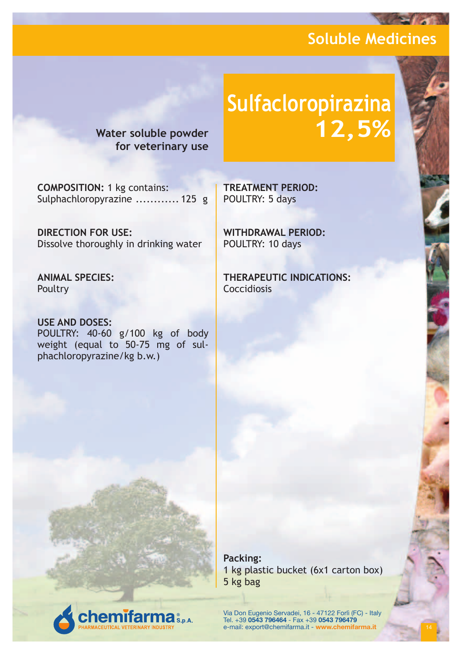**for veterinary use**

# **Sulfacloropirazina Water soluble powder 12,5%**

**COMPOSITION:** 1 kg contains: Sulphachloropyrazine ............ 125 g

**DIRECTION FOR USE:** Dissolve thoroughly in drinking water

**ANIMAL SPECIES: Poultry** 

**USE AND DOSES:** POULTRY: 40-60 g/100 kg of body weight (equal to 50-75 mg of sulphachloropyrazine/kg b.w.)

**emifarma** S.p.A.

**TREATMENT PERIOD:** POULTRY: 5 days

**WITHDRAWAL PERIOD:** POULTRY: 10 days

**THERAPEUTIC INDICATIONS:** Coccidiosis

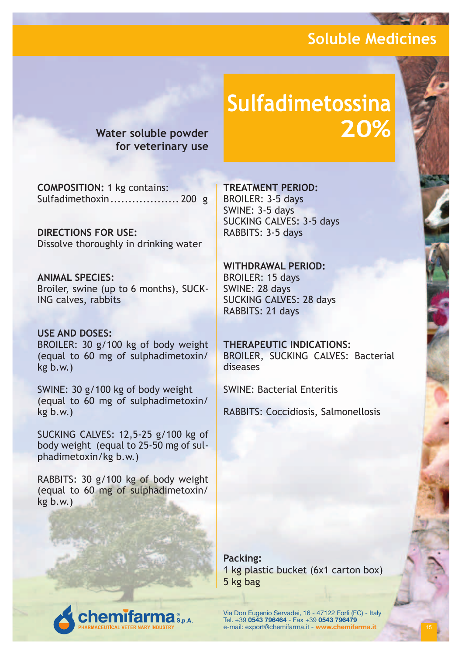**Water soluble powder for veterinary use**

# **Sulfadimetossina 20%**

**COMPOSITION:** 1 kg contains: Sulfadimethoxin................... 200 g

**DIRECTIONS FOR USE:** Dissolve thoroughly in drinking water

**ANIMAL SPECIES:** Broiler, swine (up to 6 months), SUCK-ING calves, rabbits

**USE AND DOSES:** BROILER: 30 g/100 kg of body weight (equal to 60 mg of sulphadimetoxin/ kg b.w.)

SWINE: 30 g/100 kg of body weight (equal to 60 mg of sulphadimetoxin/ kg b.w.)

SUCKING CALVES: 12,5-25 g/100 kg of body weight (equal to 25-50 mg of sulphadimetoxin/kg b.w.)

RABBITS: 30 g/100 kg of body weight (equal to 60 mg of sulphadimetoxin/ kg b.w.)

**emifarma** s.s.a.

**TREATMENT PERIOD:**

BROILER: 3-5 days SWINE: 3-5 days SUCKING CALVES: 3-5 days RABBITS: 3-5 days

**WITHDRAWAL PERIOD:** BROILER: 15 days SWINE: 28 days SUCKING CALVES: 28 days RABBITS: 21 days

**THERAPEUTIC INDICATIONS:** BROILER, SUCKING CALVES: Bacterial diseases

SWINE: Bacterial Enteritis

RABBITS: Coccidiosis, Salmonellosis

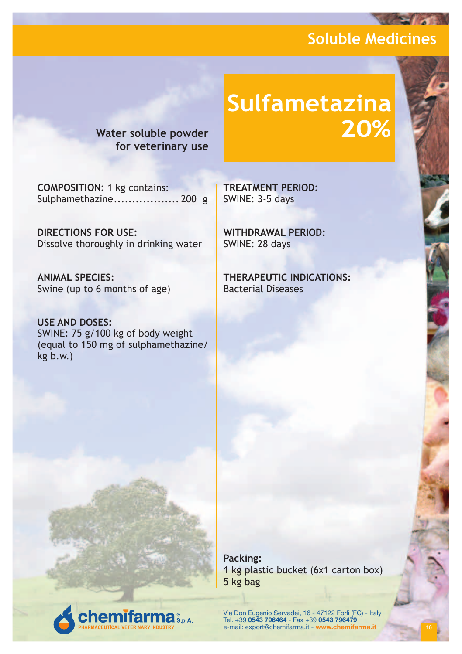**Water soluble powder for veterinary use**

# **Sulfametazina 20%**

**COMPOSITION:** 1 kg contains: Sulphamethazine.................. 200 g

**DIRECTIONS FOR USE:** Dissolve thoroughly in drinking water

**ANIMAL SPECIES:** Swine (up to 6 months of age)

**USE AND DOSES:** SWINE: 75 g/100 kg of body weight (equal to 150 mg of sulphamethazine/ kg b.w.)

**emifarma** S.p.A.

**TREATMENT PERIOD:** SWINE: 3-5 days

**WITHDRAWAL PERIOD:** SWINE: 28 days

**THERAPEUTIC INDICATIONS:** Bacterial Diseases

1 kg plastic bucket (6x1 carton box) 5 kg bag

**Packing:**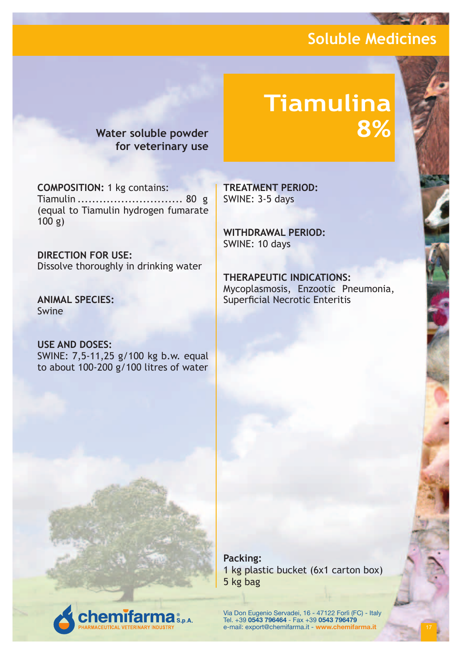# **Tiamulina 8%**

**Water soluble powder for veterinary use**

**COMPOSITION:** 1 kg contains: Tiamulin ............................. 80 g (equal to Tiamulin hydrogen fumarate 100 g)

**DIRECTION FOR USE:** Dissolve thoroughly in drinking water

**ANIMAL SPECIES:** Swine

**USE AND DOSES:** SWINE: 7,5-11,25 g/100 kg b.w. equal to about 100-200 g/100 litres of water

**TREATMENT PERIOD:** SWINE: 3-5 days

**WITHDRAWAL PERIOD:** SWINE: 10 days

**THERAPEUTIC INDICATIONS:** Mycoplasmosis, Enzootic Pneumonia, Superficial Necrotic Enteritis

**Packing:** 1 kg plastic bucket (6x1 carton box) 5 kg bag

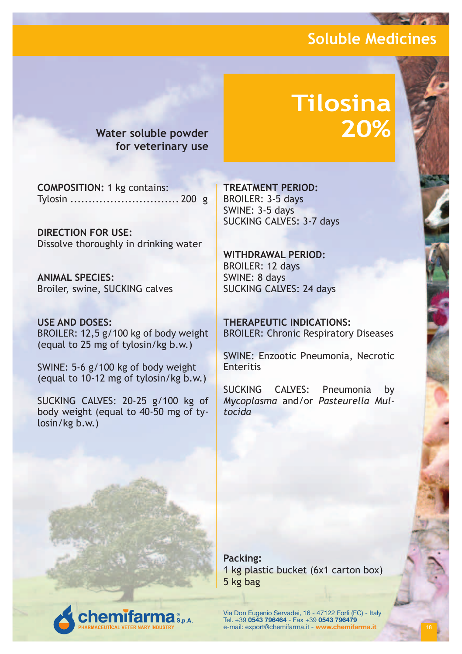**Water soluble powder for veterinary use**

# **Tilosina 20%**

**COMPOSITION:** 1 kg contains: Tylosin .............................. 200 g

**DIRECTION FOR USE:** Dissolve thoroughly in drinking water

**ANIMAL SPECIES:** Broiler, swine, SUCKING calves

**USE AND DOSES:** BROILER: 12,5 g/100 kg of body weight (equal to 25 mg of tylosin/kg b.w.)

SWINE: 5-6 g/100 kg of body weight (equal to 10-12 mg of tylosin/kg b.w.)

SUCKING CALVES: 20-25 g/100 kg of body weight (equal to 40-50 mg of tylosin/kg b.w.)

**emifarma** 

**TREATMENT PERIOD:** BROILER: 3-5 days SWINE: 3-5 days SUCKING CALVES: 3-7 days

**WITHDRAWAL PERIOD:** BROILER: 12 days SWINE: 8 days SUCKING CALVES: 24 days

**THERAPEUTIC INDICATIONS:** BROILER: Chronic Respiratory Diseases

SWINE: Enzootic Pneumonia, Necrotic **Enteritis** 

SUCKING CALVES: Pneumonia by *Mycoplasma* and/or *Pasteurella Multocida*

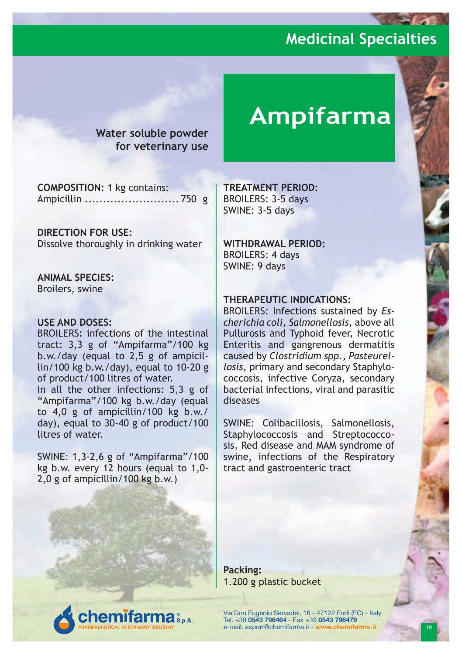**Water soluble powder for veterinary use**

**COMPOSITION:** 1 kg contains: Ampicillin .......................... 750 g

**DIRECTION FOR USE:** Dissolve thoroughly in drinking water

**ANIMAL SPECIES:** Broilers, swine

#### **USE AND DOSES:**

BROILERS: infections of the intestinal tract: 3,3 g of "Ampifarma"/100 kg b.w./day (equal to 2,5 g of ampicillin/100 kg b.w./day), equal to 10-20 g of product/100 litres of water.

In all the other infections: 5,3 g of "Ampifarma"/100 kg b.w./day (equal to 4,0 g of ampicillin/100 kg b.w./ day), equal to 30-40 g of product/100 litres of water.

SWINE: 1,3-2,6 g of "Ampifarma"/100 kg b.w. every 12 hours (equal to 1,0- 2,0 g of ampicillin/100 kg b.w.)

# **Ampifarma**

**TREATMENT PERIOD:** BROILERS: 3-5 days SWINE: 3-5 days

**WITHDRAWAL PERIOD:** BROILERS: 4 days SWINE: 9 days

#### **THERAPEUTIC INDICATIONS:**

BROILERS: Infections sustained by *Escherichia coli, Salmonellosis,* above all Pullurosis and Typhoid fever, Necrotic Enteritis and gangrenous dermatitis caused by *Clostridium spp., Pasteurellosis,* primary and secondary Staphylococcosis, infective Coryza, secondary bacterial infections, viral and parasitic diseases

SWINE: Colibacillosis, Salmonellosis, Staphylococcosis and Streptococcosis, Red disease and MAM syndrome of swine, infections of the Respiratory tract and gastroenteric tract

**Packing:** 1.200 g plastic bucket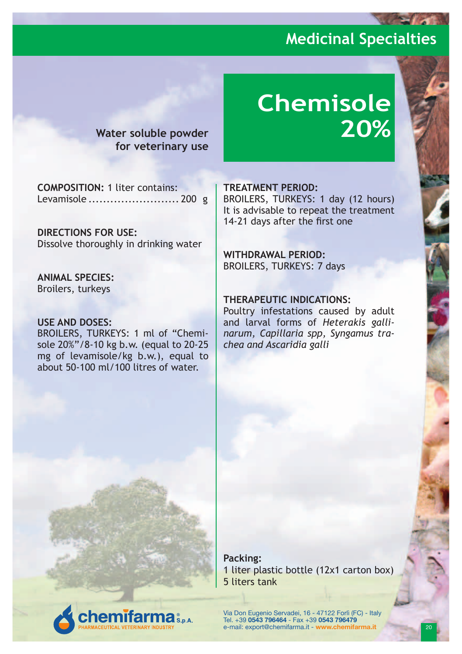**Water soluble powder for veterinary use**

# **Chemisole 20%**

**COMPOSITION:** 1 liter contains: Levamisole ......................... 200 g

**DIRECTIONS FOR USE:** Dissolve thoroughly in drinking water

**ANIMAL SPECIES:** Broilers, turkeys

#### **USE AND DOSES:**

BROILERS, TURKEYS: 1 ml of "Chemisole 20%"/8-10 kg b.w. (equal to 20-25 mg of levamisole/kg b.w.), equal to about 50-100 ml/100 litres of water.

**emifarma** S.p.A.

#### **TREATMENT PERIOD:**

BROILERS, TURKEYS: 1 day (12 hours) It is advisable to repeat the treatment 14-21 days after the first one

#### **WITHDRAWAL PERIOD:**

BROILERS, TURKEYS: 7 days

#### **THERAPEUTIC INDICATIONS:**

Poultry infestations caused by adult and larval forms of *Heterakis gallinarum, Capillaria spp, Syngamus trachea and Ascaridia galli*

**Packing:** 1 liter plastic bottle (12x1 carton box) 5 liters tank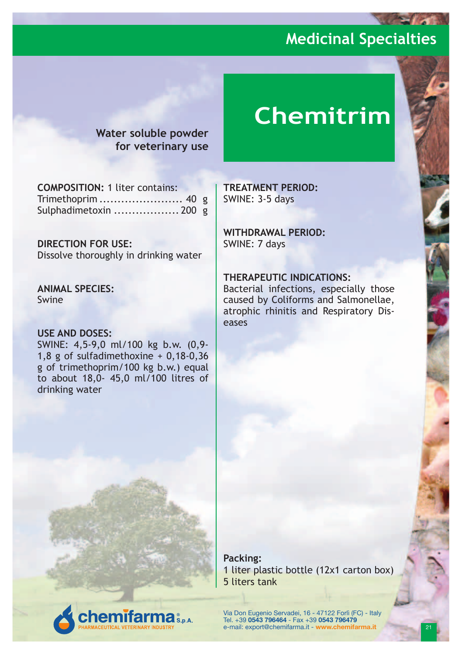**Water soluble powder for veterinary use**

# **Chemitrim**

**COMPOSITION:** 1 liter contains: Trimethoprim ....................... 40 g Sulphadimetoxin .................. 200 g

#### **DIRECTION FOR USE:**

Dissolve thoroughly in drinking water

**ANIMAL SPECIES:** Swine

#### **USE AND DOSES:**

SWINE: 4,5-9,0 ml/100 kg b.w. (0,9- 1,8 g of sulfadimethoxine + 0,18-0,36 g of trimethoprim/100 kg b.w.) equal to about 18,0- 45,0 ml/100 litres of drinking water

**emifarma** S.p.A.

**TREATMENT PERIOD:** SWINE: 3-5 days

**WITHDRAWAL PERIOD:** SWINE: 7 days

#### **THERAPEUTIC INDICATIONS:**

Bacterial infections, especially those caused by Coliforms and Salmonellae, atrophic rhinitis and Respiratory Diseases

**Packing:** 1 liter plastic bottle (12x1 carton box) 5 liters tank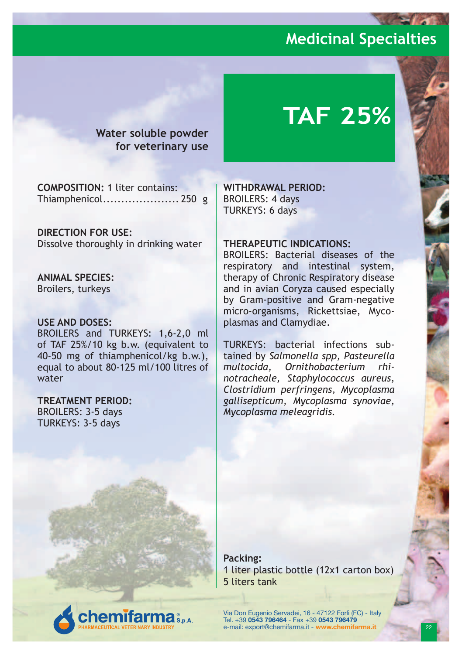**Water soluble powder for veterinary use**

# **TAF 25%**

**COMPOSITION:** 1 liter contains: Thiamphenicol..................... 250 g

**DIRECTION FOR USE:** Dissolve thoroughly in drinking water

**ANIMAL SPECIES:** Broilers, turkeys

#### **USE AND DOSES:**

BROILERS and TURKEYS: 1,6-2,0 ml of TAF 25%/10 kg b.w. (equivalent to 40-50 mg of thiamphenicol/kg b.w.), equal to about 80-125 ml/100 litres of water

**emifarma** 

**TREATMENT PERIOD:**

BROILERS: 3-5 days TURKEYS: 3-5 days

**WITHDRAWAL PERIOD:** BROILERS: 4 days TURKEYS: 6 days

#### **THERAPEUTIC INDICATIONS:**

BROILERS: Bacterial diseases of the respiratory and intestinal system, therapy of Chronic Respiratory disease and in avian Coryza caused especially by Gram-positive and Gram-negative micro-organisms, Rickettsiae, Mycoplasmas and Clamydiae.

TURKEYS: bacterial infections subtained by *Salmonella spp, Pasteurella multocida, Ornithobacterium rhinotracheale, Staphylococcus aureus, Clostridium perfringens, Mycoplasma gallisepticum, Mycoplasma synoviae, Mycoplasma meleagridis.*

**Packing:** 1 liter plastic bottle (12x1 carton box) 5 liters tank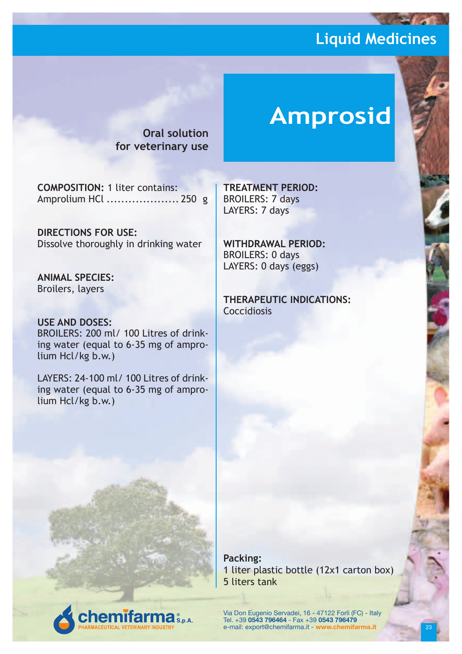**Oral solution for veterinary use**

# **Amprosid**

**COMPOSITION:** 1 liter contains: Amprolium HCl .................... 250 g

**DIRECTIONS FOR USE:** Dissolve thoroughly in drinking water

**ANIMAL SPECIES:** Broilers, layers

**USE AND DOSES:** BROILERS: 200 mL/ 100 Litres of drinking water (equal to 6-35 mg of amprolium Hcl/kg b.w.)

LAYERS: 24-100 ml/ 100 Litres of drinking water (equal to 6-35 mg of amprolium Hcl/kg b.w.)

**emifarma** S.p.A.

**TREATMENT PERIOD:** BROILERS: 7 days LAYERS: 7 days

**WITHDRAWAL PERIOD:** BROILERS: 0 days LAYERS: 0 days (eggs)

**THERAPEUTIC INDICATIONS:** Coccidiosis

**Packing:** 1 liter plastic bottle (12x1 carton box) 5 liters tank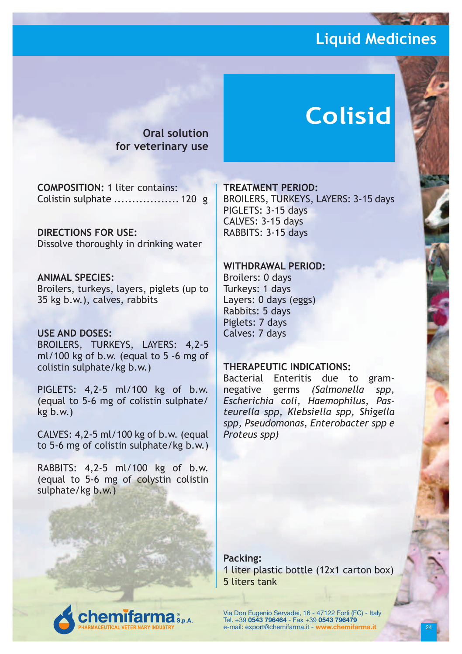**Oral solution for veterinary use**

# **Colisid**

**COMPOSITION:** 1 liter contains: Colistin sulphate .................. 120 g

**DIRECTIONS FOR USE:** Dissolve thoroughly in drinking water

#### **ANIMAL SPECIES:**

Broilers, turkeys, layers, piglets (up to 35 kg b.w.), calves, rabbits

#### **USE AND DOSES:**

BROILERS, TURKEYS, LAYERS: 4,2-5 ml/100 kg of b.w. (equal to 5 -6 mg of colistin sulphate/kg b.w.)

PIGLETS: 4,2-5 ml/100 kg of b.w. (equal to 5-6 mg of colistin sulphate/ kg b.w.)

CALVES: 4,2-5 ml/100 kg of b.w. (equal to 5-6 mg of colistin sulphate/kg b.w.)

RABBITS: 4,2-5 ml/100 kg of b.w. (equal to 5-6 mg of colystin colistin sulphate/kg b.w.)

**emifarma** 

#### **TREATMENT PERIOD:**

BROILERS, TURKEYS, LAYERS: 3-15 days PIGLETS: 3-15 days CALVES: 3-15 days RABBITS: 3-15 days

#### **WITHDRAWAL PERIOD:**

Broilers: 0 days Turkeys: 1 days Layers: 0 days (eggs) Rabbits: 5 days Piglets: 7 days Calves: 7 days

#### **THERAPEUTIC INDICATIONS:**

Bacterial Enteritis due to gramnegative germs *(Salmonella spp, Escherichia coli, Haemophilus, Pasteurella spp, Klebsiella spp, Shigella spp, Pseudomonas, Enterobacter spp e Proteus spp)*

**Packing:** 1 liter plastic bottle (12x1 carton box) 5 liters tank

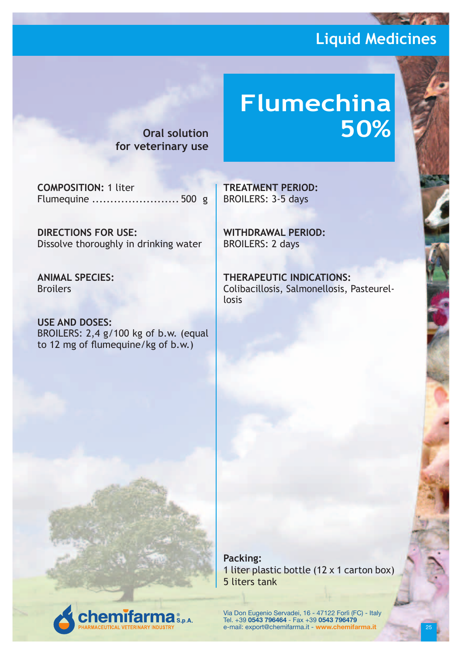# **Flumechina 50%**

**Oral solution for veterinary use**

**COMPOSITION:** 1 liter Flumequine ........................ 500 g

**DIRECTIONS FOR USE:** Dissolve thoroughly in drinking water

**ANIMAL SPECIES:** Broilers

**USE AND DOSES:** BROILERS: 2,4 g/100 kg of b.w. (equal to 12 mg of flumequine/kg of b.w.)

**TREATMENT PERIOD:** BROILERS: 3-5 days

**WITHDRAWAL PERIOD:** BROILERS: 2 days

**THERAPEUTIC INDICATIONS:** Colibacillosis, Salmonellosis, Pasteurellosis



**Packing:** 1 liter plastic bottle (12 x 1 carton box) 5 liters tank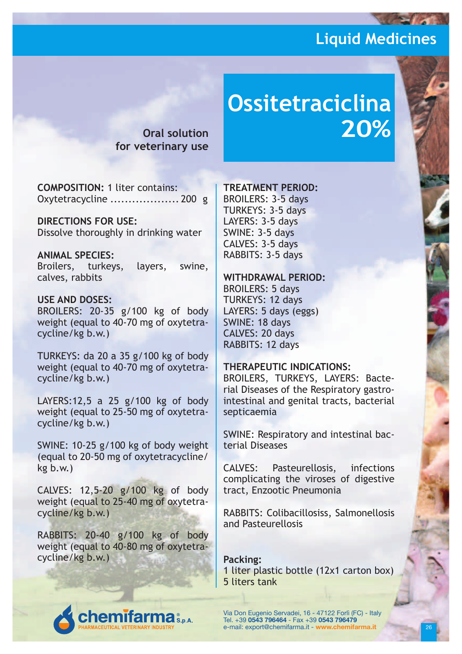**Oral solution for veterinary use**

# **Ossitetraciclina 20%**

**COMPOSITION:** 1 liter contains: Oxytetracycline ................... 200 g

**DIRECTIONS FOR USE:** Dissolve thoroughly in drinking water

**ANIMAL SPECIES:** Broilers, turkeys, layers, swine, calves, rabbits

#### **USE AND DOSES:**

BROILERS: 20-35 g/100 kg of body weight (equal to 40-70 mg of oxytetracycline/kg b.w.)

TURKEYS: da 20 a 35 g/100 kg of body weight (equal to 40-70 mg of oxytetracycline/kg b.w.)

LAYERS:12,5 a 25 g/100 kg of body weight (equal to 25-50 mg of oxytetracycline/kg b.w.)

SWINE: 10-25 g/100 kg of body weight (equal to 20-50 mg of oxytetracycline/ kg b.w.)

CALVES: 12,5-20 g/100 kg of body weight (equal to 25-40 mg of oxytetracycline/kg b.w.)

RABBITS: 20-40 g/100 kg of body weight (equal to 40-80 mg of oxytetracycline/kg b.w.)

#### **TREATMENT PERIOD:**

BROILERS: 3-5 days TURKEYS: 3-5 days LAYERS: 3-5 days SWINE: 3-5 days CALVES: 3-5 days RABBITS: 3-5 days

#### **WITHDRAWAL PERIOD:**

BROILERS: 5 days TURKEYS: 12 days LAYERS: 5 days (eggs) SWINE: 18 days CALVES: 20 days RABBITS: 12 days

#### **THERAPEUTIC INDICATIONS:**

BROILERS, TURKEYS, LAYERS: Bacterial Diseases of the Respiratory gastrointestinal and genital tracts, bacterial septicaemia

SWINE: Respiratory and intestinal bacterial Diseases

CALVES: Pasteurellosis, infections complicating the viroses of digestive tract, Enzootic Pneumonia

RABBITS: Colibacillosiss, Salmonellosis and Pasteurellosis

**Packing:** 1 liter plastic bottle (12x1 carton box) 5 liters tank

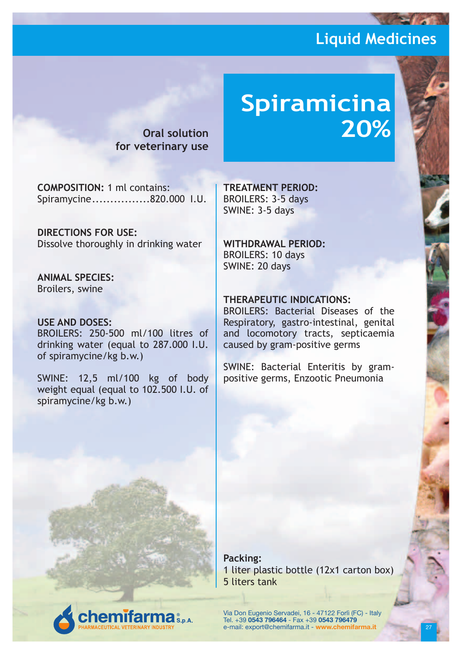**Oral solution for veterinary use**

# **Spiramicina 20%**

**COMPOSITION:** 1 ml contains: Spiramycine................820.000 I.U.

**DIRECTIONS FOR USE:** Dissolve thoroughly in drinking water

**ANIMAL SPECIES:** Broilers, swine

#### **USE AND DOSES:**

BROILERS: 250-500 ml/100 litres of drinking water (equal to 287.000 I.U. of spiramycine/kg b.w.)

SWINE: 12,5 ml/100 kg of body weight equal (equal to 102.500 I.U. of spiramycine/kg b.w.)

**emifarma** S.p.A.

**TREATMENT PERIOD:** BROILERS: 3-5 days SWINE: 3-5 days

**WITHDRAWAL PERIOD:** BROILERS: 10 days SWINE: 20 days

#### **THERAPEUTIC INDICATIONS:**

BROILERS: Bacterial Diseases of the Respiratory, gastro-intestinal, genital and locomotory tracts, septicaemia caused by gram-positive germs

SWINE: Bacterial Enteritis by grampositive germs, Enzootic Pneumonia

**Packing:** 1 liter plastic bottle (12x1 carton box) 5 liters tank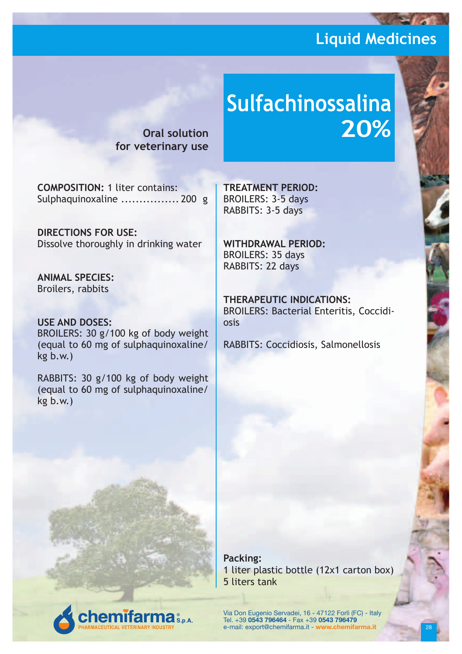**Oral solution for veterinary use**

# **Sulfachinossalina 20%**

**COMPOSITION:** 1 liter contains: Sulphaquinoxaline ................ 200 g

**DIRECTIONS FOR USE:** Dissolve thoroughly in drinking water

**ANIMAL SPECIES:** Broilers, rabbits

**USE AND DOSES:** BROILERS: 30 g/100 kg of body weight (equal to 60 mg of sulphaquinoxaline/ kg b.w.)

RABBITS: 30 g/100 kg of body weight (equal to 60 mg of sulphaquinoxaline/ kg b.w.)

**emifarma** S.p.A.

**TREATMENT PERIOD:** BROILERS: 3-5 days RABBITS: 3-5 days

**WITHDRAWAL PERIOD:** BROILERS: 35 days RABBITS: 22 days

**THERAPEUTIC INDICATIONS:** BROILERS: Bacterial Enteritis, Coccidiosis

RABBITS: Coccidiosis, Salmonellosis

**Packing:** 1 liter plastic bottle (12x1 carton box) 5 liters tank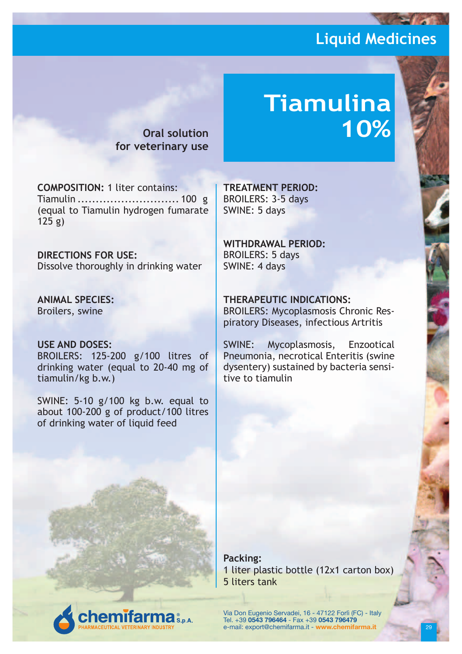**10%**

**Tiamulina** 

**Oral solution for veterinary use**

**COMPOSITION:** 1 liter contains: Tiamulin ............................ 100 g (equal to Tiamulin hydrogen fumarate 125 g)

**DIRECTIONS FOR USE:** Dissolve thoroughly in drinking water

**ANIMAL SPECIES:** Broilers, swine

#### **USE AND DOSES:**

BROILERS: 125-200 g/100 litres of drinking water (equal to 20-40 mg of tiamulin/kg b.w.)

SWINE: 5-10 g/100 kg b.w. equal to about 100-200 g of product/100 litres of drinking water of liquid feed

**emifarma** S.p.A.

**TREATMENT PERIOD:** BROILERS: 3-5 days SWINE: 5 days

**WITHDRAWAL PERIOD:** BROILERS: 5 days SWINE: 4 days

**THERAPEUTIC INDICATIONS:**

BROILERS: Mycoplasmosis Chronic Respiratory Diseases, infectious Artritis

SWINE: Mycoplasmosis, Enzootical Pneumonia, necrotical Enteritis (swine dysentery) sustained by bacteria sensitive to tiamulin

**Packing:** 1 liter plastic bottle (12x1 carton box) 5 liters tank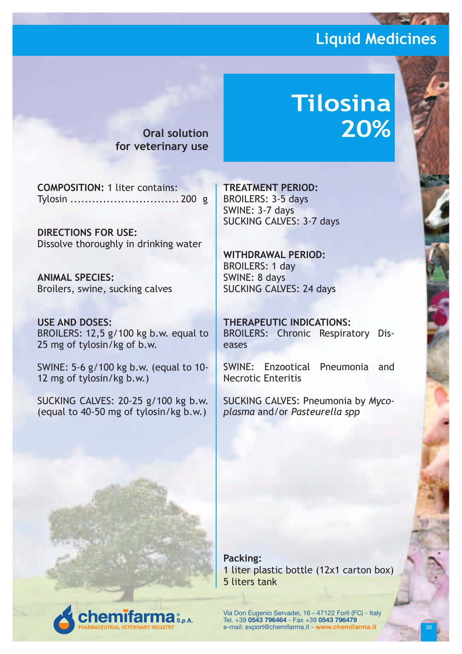**Oral solution for veterinary use**

# **Tilosina 20%**

**COMPOSITION:** 1 liter contains: Tylosin .............................. 200 g

**DIRECTIONS FOR USE:** Dissolve thoroughly in drinking water

**ANIMAL SPECIES:** Broilers, swine, sucking calves

**USE AND DOSES:** BROILERS: 12,5 g/100 kg b.w. equal to 25 mg of tylosin/kg of b.w.

SWINE: 5-6 g/100 kg b.w. (equal to 10- 12 mg of tylosin/kg b.w.)

SUCKING CALVES: 20-25 g/100 kg b.w. (equal to 40-50 mg of tylosin/kg b.w.)

**emifarma** 

**TREATMENT PERIOD:** BROILERS: 3-5 days SWINE: 3-7 days SUCKING CALVES: 3-7 days

**WITHDRAWAL PERIOD:** BROILERS: 1 day SWINE: 8 days SUCKING CALVES: 24 days

**THERAPEUTIC INDICATIONS:** BROILERS: Chronic Respiratory Diseases

SWINE: Enzootical Pneumonia and Necrotic Enteritis

SUCKING CALVES: Pneumonia by *Mycoplasma* and/or *Pasteurella spp*

**Packing:** 1 liter plastic bottle (12x1 carton box) 5 liters tank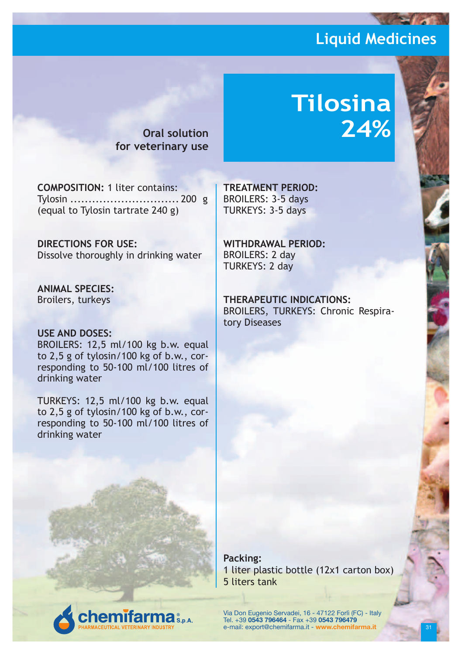**Oral solution for veterinary use**

# **Tilosina 24%**

**COMPOSITION:** 1 liter contains: Tylosin .............................. 200 g (equal to Tylosin tartrate 240 g)

**DIRECTIONS FOR USE:** Dissolve thoroughly in drinking water

**ANIMAL SPECIES:** Broilers, turkeys

#### **USE AND DOSES:**

BROILERS: 12,5 ml/100 kg b.w. equal to 2,5 g of tylosin/100 kg of b.w., corresponding to 50-100 ml/100 litres of drinking water

TURKEYS: 12,5 ml/100 kg b.w. equal to 2,5 g of tylosin/100 kg of b.w., corresponding to 50-100 ml/100 litres of drinking water

**emifarma** S.p.A.

**TREATMENT PERIOD:** BROILERS: 3-5 days TURKEYS: 3-5 days

**WITHDRAWAL PERIOD:** BROILERS: 2 day TURKEYS: 2 day

**THERAPEUTIC INDICATIONS:** BROILERS, TURKEYS: Chronic Respiratory Diseases

**Packing:** 1 liter plastic bottle (12x1 carton box) 5 liters tank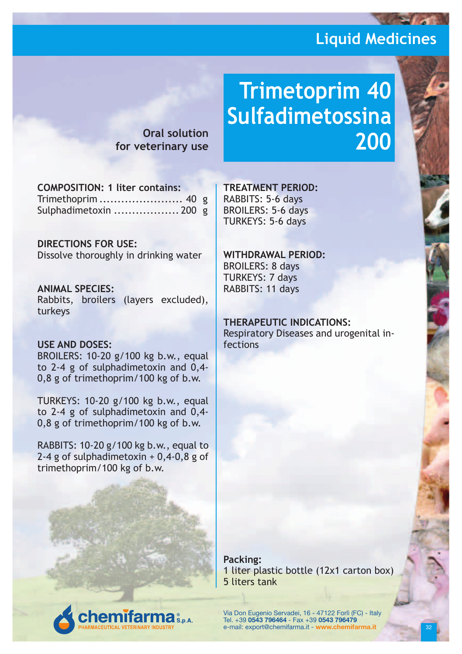**Oral solution for veterinary use**

# **Trimetoprim 40 Sulfadimetossina 200**

**COMPOSITION: 1 liter contains:** Trimethoprim ....................... 40 g Sulphadimetoxin .................. 200 g

**DIRECTIONS FOR USE:** Dissolve thoroughly in drinking water

**ANIMAL SPECIES:** Rabbits, broilers (layers excluded), turkeys

#### **USE AND DOSES:**

BROILERS: 10-20 g/100 kg b.w., equal to 2-4 g of sulphadimetoxin and 0,4- 0,8 g of trimethoprim/100 kg of b.w.

TURKEYS: 10-20 g/100 kg b.w., equal to 2-4 g of sulphadimetoxin and 0,4- 0,8 g of trimethoprim/100 kg of b.w.

RABBITS: 10-20 g/100 kg b.w., equal to 2-4 g of sulphadimetoxin + 0,4-0,8 g of trimethoprim/100 kg of b.w.

**emifarma** 

**TREATMENT PERIOD:** RABBITS: 5-6 days BROILERS: 5-6 days TURKEYS: 5-6 days

**WITHDRAWAL PERIOD:** BROILERS: 8 days TURKEYS: 7 days RABBITS: 11 days

**THERAPEUTIC INDICATIONS:** Respiratory Diseases and urogenital infections

**Packing:** 1 liter plastic bottle (12x1 carton box) 5 liters tank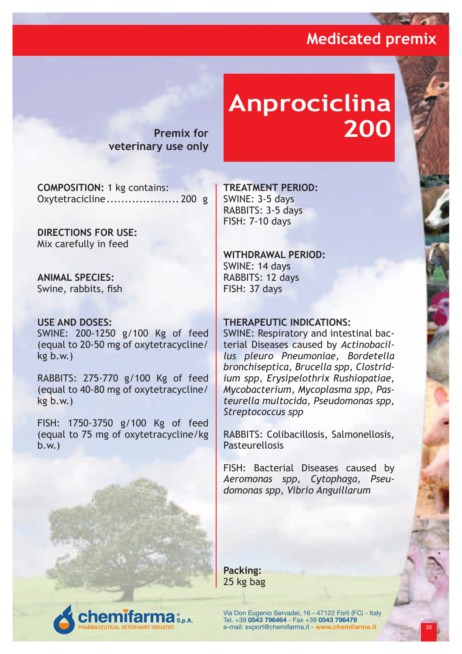**College** 

**Premix for veterinary use only**

# **Anprociclina 200**

**COMPOSITION:** 1 kg contains: Oxytetracicline.................... 200 g

**DIRECTIONS FOR USE:** Mix carefully in feed

**ANIMAL SPECIES:** Swine, rabbits, fish

#### **USE AND DOSES:**

SWINE: 200-1250 g/100 Kg of feed (equal to 20-50 mg of oxytetracycline/ kg b.w.)

RABBITS: 275-770 g/100 Kg of feed (equal to 40-80 mg of oxytetracycline/ kg b.w.)

FISH: 1750-3750 g/100 Kg of feed (equal to 75 mg of oxytetracycline/kg b.w.)

**TREATMENT PERIOD:** SWINE: 3-5 days RABBITS: 3-5 days FISH: 7-10 days

#### **WITHDRAWAL PERIOD:**

SWINE: 14 days RABBITS: 12 days FISH: 37 days

#### **THERAPEUTIC INDICATIONS:**

SWINE: Respiratory and intestinal bacterial Diseases caused by *Actinobacillus pleuro Pneumoniae, Bordetella bronchiseptica, Brucella spp, Clostridium spp, Erysipelothrix Rushiopatiae, Mycobacterium, Mycoplasma spp, Pasteurella multocida, Pseudomonas spp, Streptococcus spp*

RABBITS: Colibacillosis, Salmonellosis, **Pasteurellosis** 

FISH: Bacterial Diseases caused by *Aeromonas spp, Cytophaga, Pseudomonas spp, Vibrio Anguillarum*

**Packing:** 25 kg bag

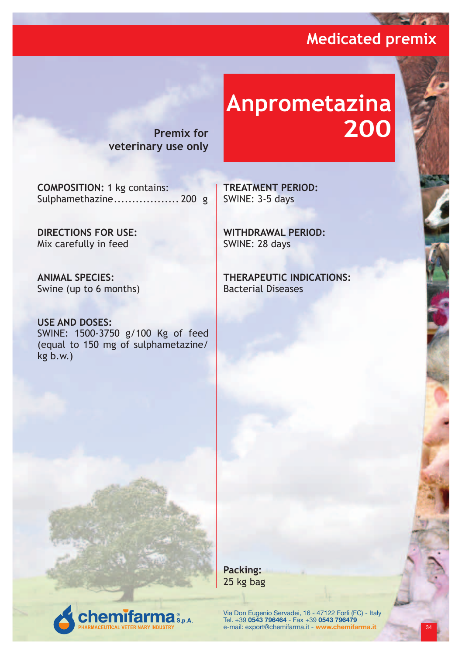**Contract of the Second Street** 

**Premix for veterinary use only**

# **Anprometazina 200**

**COMPOSITION:** 1 kg contains: Sulphamethazine.................. 200 g

**DIRECTIONS FOR USE:** Mix carefully in feed

**ANIMAL SPECIES:** Swine (up to 6 months)

**USE AND DOSES:** SWINE: 1500-3750 g/100 Kg of feed (equal to 150 mg of sulphametazine/ kg b.w.)

**emifarma** S.p.A.

**TREATMENT PERIOD:** SWINE: 3-5 days

**WITHDRAWAL PERIOD:** SWINE: 28 days

**THERAPEUTIC INDICATIONS:** Bacterial Diseases

**Packing:** 25 kg bag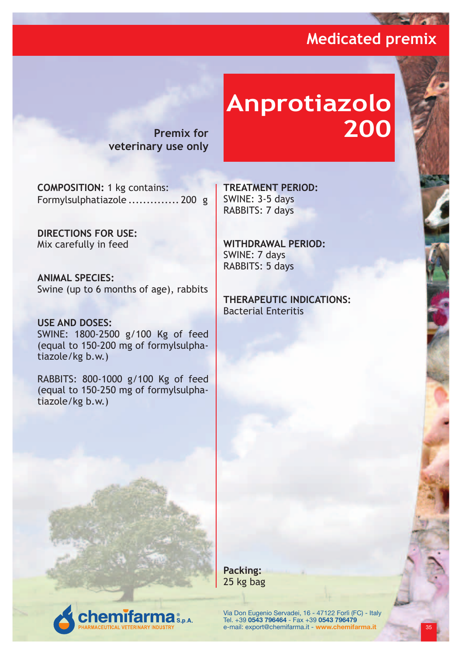**Profit And** 

**Premix for veterinary use only**

# **Anprotiazolo 200**

**COMPOSITION:** 1 kg contains: Formylsulphatiazole .............. 200 g

**DIRECTIONS FOR USE:** Mix carefully in feed

**ANIMAL SPECIES:** Swine (up to 6 months of age), rabbits

**USE AND DOSES:** SWINE: 1800-2500 g/100 Kg of feed (equal to 150-200 mg of formylsulphatiazole/kg b.w.)

RABBITS: 800-1000 g/100 Kg of feed (equal to 150-250 mg of formylsulphatiazole/kg b.w.)

**TREATMENT PERIOD:** SWINE: 3-5 days RABBITS: 7 days

**WITHDRAWAL PERIOD:** SWINE: 7 days RABBITS: 5 days

**THERAPEUTIC INDICATIONS:** Bacterial Enteritis

**Packing:** 25 kg bag

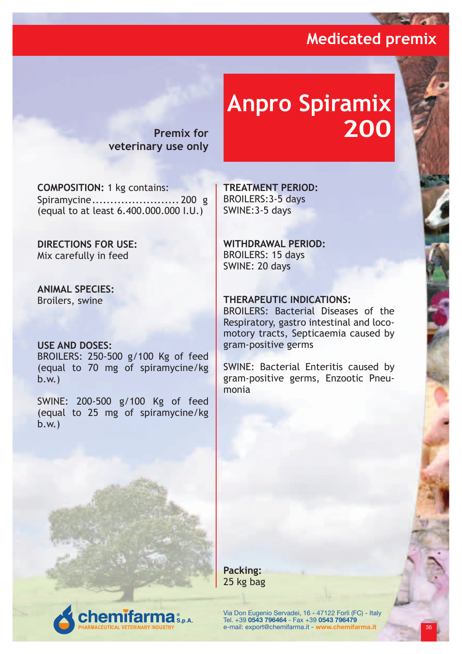**Contract Service** 

**Premix for veterinary use only**

# **Anpro Spiramix 200**

**COMPOSITION:** 1 kg contains: Spiramycine........................ 200 g (equal to at least 6.400.000.000 I.U.)

**DIRECTIONS FOR USE:** Mix carefully in feed

**ANIMAL SPECIES:** Broilers, swine

#### **USE AND DOSES:**

BROILERS: 250-500 g/100 Kg of feed (equal to 70 mg of spiramycine/kg b.w.)

SWINE: 200-500 g/100 Kg of feed (equal to 25 mg of spiramycine/kg b.w.)

**TREATMENT PERIOD:** BROILERS:3-5 days SWINE:3-5 days

**WITHDRAWAL PERIOD:** BROILERS: 15 days SWINE: 20 days

#### **THERAPEUTIC INDICATIONS:**

BROILERS: Bacterial Diseases of the Respiratory, gastro intestinal and locomotory tracts, Septicaemia caused by gram-positive germs

SWINE: Bacterial Enteritis caused by gram-positive germs, Enzootic Pneumonia

**Packing:** 25 kg bag

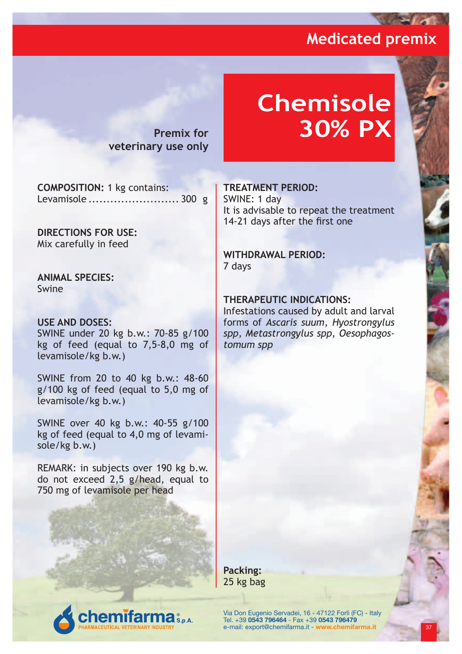**Property** 

**Premix for veterinary use only**

# **Chemisole 30% PX**

**COMPOSITION:** 1 kg contains: Levamisole ......................... 300 g

**DIRECTIONS FOR USE:** Mix carefully in feed

**ANIMAL SPECIES:** Swine

#### **USE AND DOSES:**

SWINE under 20 kg b.w.: 70-85 g/100 kg of feed (equal to 7,5-8,0 mg of levamisole/kg b.w.)

SWINE from 20 to 40 kg b.w.: 48-60 g/100 kg of feed (equal to 5,0 mg of levamisole/kg b.w.)

SWINE over 40 kg b.w.: 40-55 g/100 kg of feed (equal to 4,0 mg of levamisole/kg b.w.)

REMARK: in subjects over 190 kg b.w. do not exceed 2,5 g/head, equal to 750 mg of levamisole per head

#### **TREATMENT PERIOD:**

SWINE: 1 day It is advisable to repeat the treatment 14-21 days after the first one

#### **WITHDRAWAL PERIOD:** 7 days

#### **THERAPEUTIC INDICATIONS:**

Infestations caused by adult and larval forms of *Ascaris suum, Hyostrongylus spp, Metastrongylus spp, Oesophagostomum spp*

**Packing:** 25 kg bag

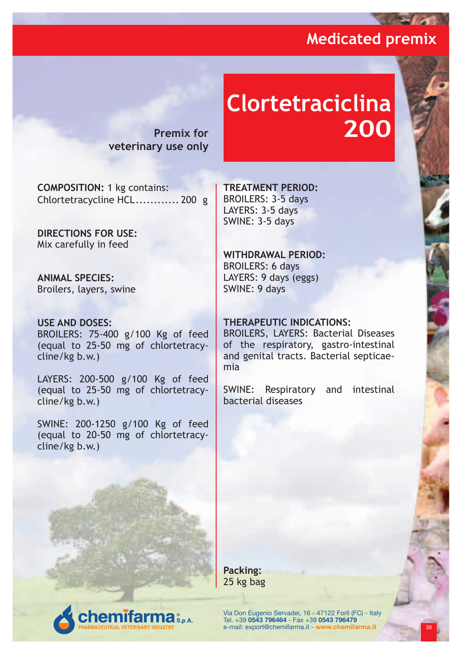**Contract Contract Service** 

**Premix for veterinary use only**

# **Clortetraciclina 200**

**COMPOSITION:** 1 kg contains: Chlortetracycline HCL............ 200 g

**DIRECTIONS FOR USE:** Mix carefully in feed

**ANIMAL SPECIES:** Broilers, layers, swine

#### **USE AND DOSES:** BROILERS: 75-400 g/100 Kg of feed (equal to 25-50 mg of chlortetracycline/kg b.w.)

LAYERS: 200-500 g/100 Kg of feed (equal to 25-50 mg of chlortetracycline/kg b.w.)

SWINE: 200-1250 g/100 Kg of feed (equal to 20-50 mg of chlortetracycline/kg b.w.)

**TREATMENT PERIOD:** BROILERS: 3-5 days LAYERS: 3-5 days SWINE: 3-5 days

#### **WITHDRAWAL PERIOD:** BROILERS: 6 days

LAYERS: 9 days (eggs) SWINE: 9 days

#### **THERAPEUTIC INDICATIONS:**

BROILERS, LAYERS: Bacterial Diseases of the respiratory, gastro-intestinal and genital tracts. Bacterial septicaemia

SWINE: Respiratory and intestinal bacterial diseases

**Packing:** 25 kg bag

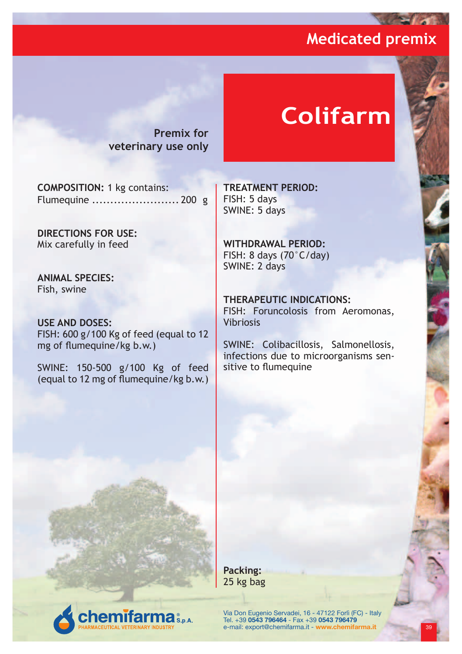**Contract** 

**Premix for veterinary use only**

# **Colifarm**

**COMPOSITION:** 1 kg contains: Flumequine ........................ 200 g

**DIRECTIONS FOR USE:** Mix carefully in feed

**ANIMAL SPECIES:** Fish, swine

**USE AND DOSES:** FISH: 600 g/100 Kg of feed (equal to 12 mg of flumequine/kg b.w.)

SWINE: 150-500 g/100 Kg of feed (equal to 12 mg of flumequine/kg b.w.)

**TREATMENT PERIOD:** FISH: 5 days SWINE: 5 days

**WITHDRAWAL PERIOD:** FISH: 8 days (70°C/day) SWINE: 2 days

**THERAPEUTIC INDICATIONS:** FISH: Foruncolosis from Aeromonas, Vibriosis

SWINE: Colibacillosis, Salmonellosis, infections due to microorganisms sensitive to flumequine

**Packing:** 25 kg bag

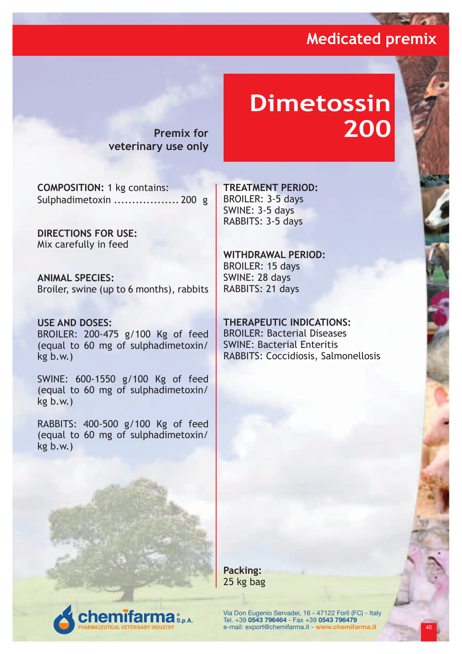**Contract Service** 

**Premix for veterinary use only**

# **Dimetossin 200**

**COMPOSITION:** 1 kg contains: Sulphadimetoxin .................. 200 g

**DIRECTIONS FOR USE:** Mix carefully in feed

**ANIMAL SPECIES:** Broiler, swine (up to 6 months), rabbits

**USE AND DOSES:** BROILER: 200-475 g/100 Kg of feed (equal to 60 mg of sulphadimetoxin/ kg b.w.)

SWINE: 600-1550 g/100 Kg of feed (equal to 60 mg of sulphadimetoxin/ kg b.w.)

RABBITS: 400-500 g/100 Kg of feed (equal to 60 mg of sulphadimetoxin/ kg b.w.)

**TREATMENT PERIOD:** BROILER: 3-5 days SWINE: 3-5 days RABBITS: 3-5 days

#### **WITHDRAWAL PERIOD:** BROILER: 15 days SWINE: 28 days RABBITS: 21 days

**THERAPEUTIC INDICATIONS:** BROILER: Bacterial Diseases SWINE: Bacterial Enteritis RABBITS: Coccidiosis, Salmonellosis

**Packing:** 25 kg bag

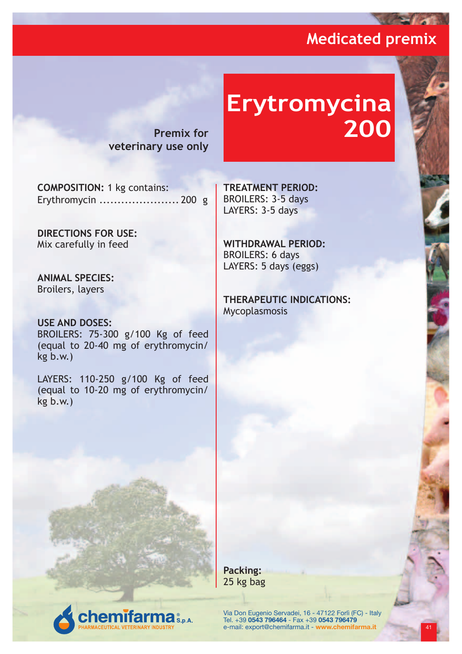**Contract of the Second Street** 

**Premix for veterinary use only**

# **Erytromycina 200**

**COMPOSITION:** 1 kg contains: Erythromycin ...................... 200 g

**DIRECTIONS FOR USE:** Mix carefully in feed

**ANIMAL SPECIES:** Broilers, layers

**USE AND DOSES:** BROILERS: 75-300 g/100 Kg of feed (equal to 20-40 mg of erythromycin/ kg b.w.)

LAYERS: 110-250 g/100 Kg of feed (equal to 10-20 mg of erythromycin/ kg b.w.)

**TREATMENT PERIOD:** BROILERS: 3-5 days LAYERS: 3-5 days

**WITHDRAWAL PERIOD:** BROILERS: 6 days LAYERS: 5 days (eggs)

**THERAPEUTIC INDICATIONS:** Mycoplasmosis

**Packing:** 25 kg bag

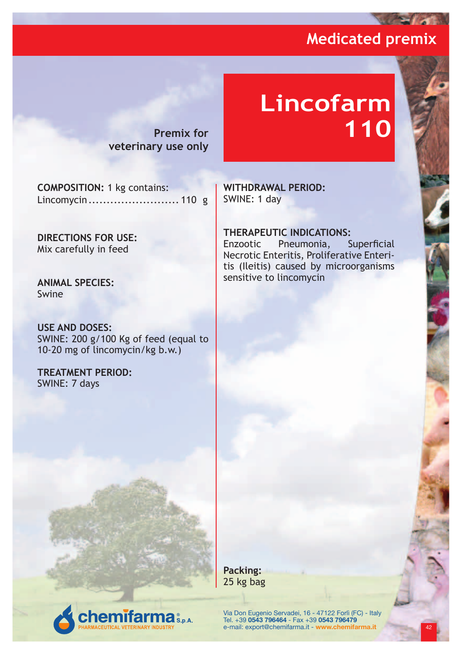**Profit And** 

**Premix for veterinary use only**

# **Lincofarm 110**

**COMPOSITION:** 1 kg contains: Lincomycin......................... 110 g

**DIRECTIONS FOR USE:** Mix carefully in feed

**ANIMAL SPECIES:** Swine

**USE AND DOSES:** SWINE: 200 g/100 Kg of feed (equal to 10-20 mg of lincomycin/kg b.w.)

**emifarma** S.p.A.

**TREATMENT PERIOD:** SWINE: 7 days

**WITHDRAWAL PERIOD:** SWINE: 1 day

**THERAPEUTIC INDICATIONS:** Enzootic Pneumonia, Superficial Necrotic Enteritis, Proliferative Enteritis (Ileitis) caused by microorganisms sensitive to lincomycin

**Packing:** 25 kg bag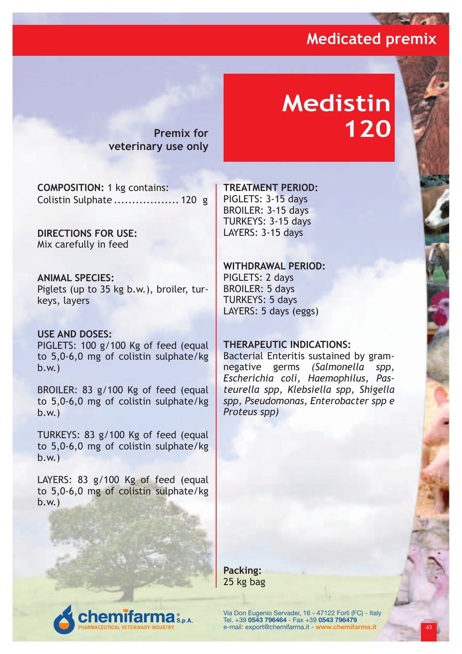**College** 

**Premix for veterinary use only**

# **Medistin 120**

**COMPOSITION:** 1 kg contains: Colistin Sulphate .................. 120 g

**DIRECTIONS FOR USE:** Mix carefully in feed

**ANIMAL SPECIES:** Piglets (up to 35 kg b.w.), broiler, turkeys, layers

**USE AND DOSES:** PIGLETS: 100 g/100 Kg of feed (equal to 5,0-6,0 mg of colistin sulphate/kg b.w.)

BROILER: 83 g/100 Kg of feed (equal to 5,0-6,0 mg of colistin sulphate/kg b.w.)

TURKEYS: 83 g/100 Kg of feed (equal to 5,0-6,0 mg of colistin sulphate/kg b.w.)

LAYERS: 83 g/100 Kg of feed (equal to 5,0-6,0 mg of colistin sulphate/kg b.w.)

**TREATMENT PERIOD:**

PIGLETS: 3-15 days BROILER: 3-15 days TURKEYS: 3-15 days LAYERS: 3-15 days

**WITHDRAWAL PERIOD:** PIGLETS: 2 days BROILER: 5 days TURKEYS: 5 days LAYERS: 5 days (eggs)

#### **THERAPEUTIC INDICATIONS:**

Bacterial Enteritis sustained by gramnegative germs *(Salmonella spp, Escherichia coli, Haemophilus, Pasteurella spp, Klebsiella spp, Shigella spp, Pseudomonas, Enterobacter spp e Proteus spp)*

**Packing:** 25 kg bag

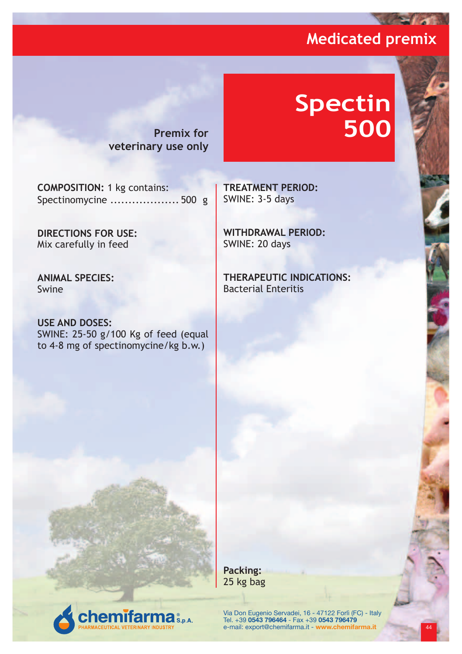**Color** 

**Premix for veterinary use only**

# **Spectin 500**

**COMPOSITION:** 1 kg contains: Spectinomycine ................... 500 g

**DIRECTIONS FOR USE:** Mix carefully in feed

**ANIMAL SPECIES:** Swine

**USE AND DOSES:** SWINE: 25-50 g/100 Kg of feed (equal to 4-8 mg of spectinomycine/kg b.w.)

**TREATMENT PERIOD:** SWINE: 3-5 days

**WITHDRAWAL PERIOD:** SWINE: 20 days

**THERAPEUTIC INDICATIONS:** Bacterial Enteritis

**emifarma** & p.a.

Via Don Eugenio Servadei, 16 - 47122 Forlì (FC) - Italy<br>Tel. +39 **0543 796464** - Fax +39 **0543 796479**<br>e-mail: export@chemifarma.it - **www.chemifarma.it** <mark> 44</mark>

**Packing:** 25 kg bag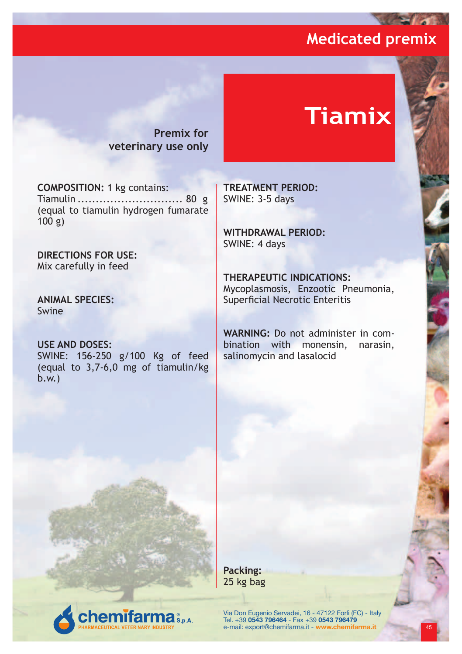**Contract Contract Service** 

**Premix for veterinary use only**

# **Tiamix**

**COMPOSITION:** 1 kg contains: Tiamulin ............................. 80 g (equal to tiamulin hydrogen fumarate 100 g)

**DIRECTIONS FOR USE:** Mix carefully in feed

**ANIMAL SPECIES:** Swine

**USE AND DOSES:** SWINE: 156-250 g/100 Kg of feed (equal to 3,7-6,0 mg of tiamulin/kg b.w.)

**emifarma** S.p.A.

**TREATMENT PERIOD:** SWINE: 3-5 days

**WITHDRAWAL PERIOD:** SWINE: 4 days

**THERAPEUTIC INDICATIONS:** Mycoplasmosis, Enzootic Pneumonia, Superficial Necrotic Enteritis

**WARNING:** Do not administer in combination with monensin, narasin, salinomycin and lasalocid

**Packing:** 25 kg bag

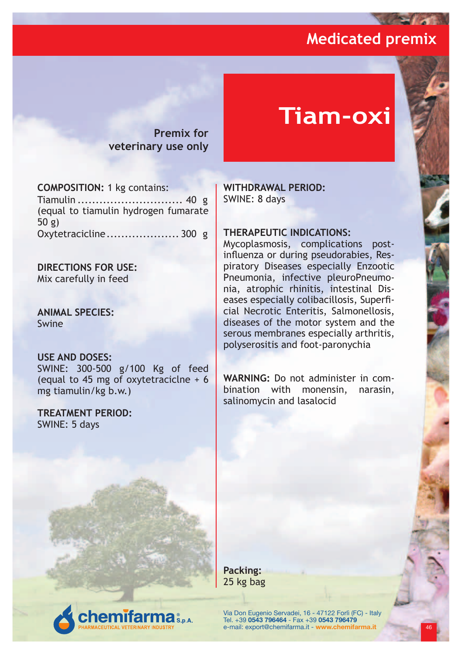**College** 

**Premix for veterinary use only**

# **Tiam-oxi**

**COMPOSITION:** 1 kg contains:

Tiamulin ............................. 40 g (equal to tiamulin hydrogen fumarate 50 g) Oxytetracicline.................... 300 g

**DIRECTIONS FOR USE:** Mix carefully in feed

**ANIMAL SPECIES:** Swine

#### **USE AND DOSES:**

SWINE: 300-500 g/100 Kg of feed (equal to 45 mg of oxytetraciclne + 6 mg tiamulin/kg b.w.)

**TREATMENT PERIOD:** SWINE: 5 days

**WITHDRAWAL PERIOD:** SWINE: 8 days

#### **THERAPEUTIC INDICATIONS:**

Mycoplasmosis, complications postinfluenza or during pseudorabies, Respiratory Diseases especially Enzootic Pneumonia, infective pleuroPneumonia, atrophic rhinitis, intestinal Diseases especially colibacillosis, Superficial Necrotic Enteritis, Salmonellosis, diseases of the motor system and the serous membranes especially arthritis, polyserositis and foot-paronychia

**WARNING:** Do not administer in combination with monensin, narasin, salinomycin and lasalocid

**Packing:** 25 kg bag

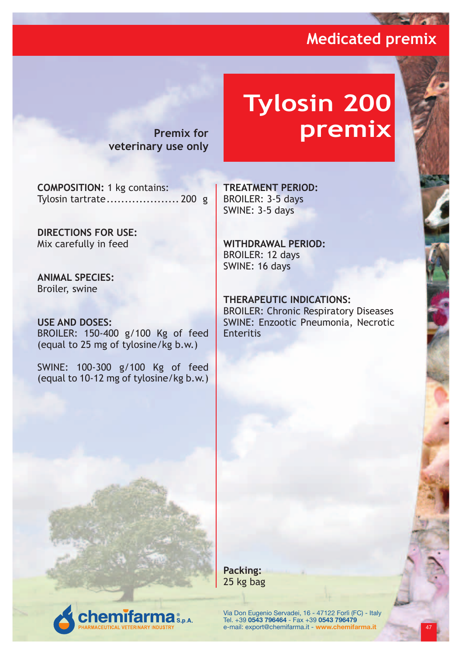**Contract of Section** 

**Premix for veterinary use only**

# **Tylosin 200 premix**

**COMPOSITION:** 1 kg contains: Tylosin tartrate.................... 200 g

**DIRECTIONS FOR USE:** Mix carefully in feed

**ANIMAL SPECIES:** Broiler, swine

**USE AND DOSES:** BROILER: 150-400 g/100 Kg of feed (equal to 25 mg of tylosine/kg b.w.)

SWINE: 100-300 g/100 Kg of feed (equal to 10-12 mg of tylosine/kg b.w.)

**TREATMENT PERIOD:** BROILER: 3-5 days SWINE: 3-5 days

**WITHDRAWAL PERIOD:** BROILER: 12 days

SWINE: 16 days

#### **THERAPEUTIC INDICATIONS:**

BROILER: Chronic Respiratory Diseases SWINE: Enzootic Pneumonia, Necrotic **Enteritis** 

**Packing:** 25 kg bag